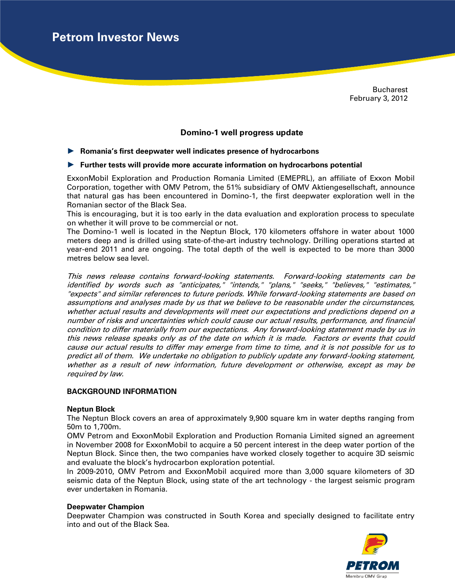**Petrom Investor News**

Bucharest February 3, 2012

# **Domino-1 well progress update**

### ► **Romania's first deepwater well indicates presence of hydrocarbons**

### ► **Further tests will provide more accurate information on hydrocarbons potential**

ExxonMobil Exploration and Production Romania Limited (EMEPRL), an affiliate of Exxon Mobil Corporation, together with OMV Petrom, the 51% subsidiary of OMV Aktiengesellschaft, announce that natural gas has been encountered in Domino-1, the first deepwater exploration well in the Romanian sector of the Black Sea.

This is encouraging, but it is too early in the data evaluation and exploration process to speculate on whether it will prove to be commercial or not.

The Domino-1 well is located in the Neptun Block, 170 kilometers offshore in water about 1000 meters deep and is drilled using state-of-the-art industry technology. Drilling operations started at year-end 2011 and are ongoing. The total depth of the well is expected to be more than 3000 metres below sea level.

This news release contains forward-looking statements. Forward-looking statements can be identified by words such as "anticipates," "intends," "plans," "seeks," "believes," "estimates," "expects" and similar references to future periods. While forward-looking statements are based on assumptions and analyses made by us that we believe to be reasonable under the circumstances, whether actual results and developments will meet our expectations and predictions depend on a number of risks and uncertainties which could cause our actual results, performance, and financial condition to differ materially from our expectations. Any forward-looking statement made by us in this news release speaks only as of the date on which it is made. Factors or events that could cause our actual results to differ may emerge from time to time, and it is not possible for us to predict all of them. We undertake no obligation to publicly update any forward-looking statement, whether as a result of new information, future development or otherwise, except as may be required by law.

## **BACKGROUND INFORMATION**

#### **Neptun Block**

The Neptun Block covers an area of approximately 9,900 square km in water depths ranging from 50m to 1,700m.

OMV Petrom and ExxonMobil Exploration and Production Romania Limited signed an agreement in November 2008 for ExxonMobil to acquire a 50 percent interest in the deep water portion of the Neptun Block. Since then, the two companies have worked closely together to acquire 3D seismic and evaluate the block's hydrocarbon exploration potential.

In 2009-2010, OMV Petrom and ExxonMobil acquired more than 3,000 square kilometers of 3D seismic data of the Neptun Block, using state of the art technology - the largest seismic program ever undertaken in Romania.

#### **Deepwater Champion**

Deepwater Champion was constructed in South Korea and specially designed to facilitate entry into and out of the Black Sea.